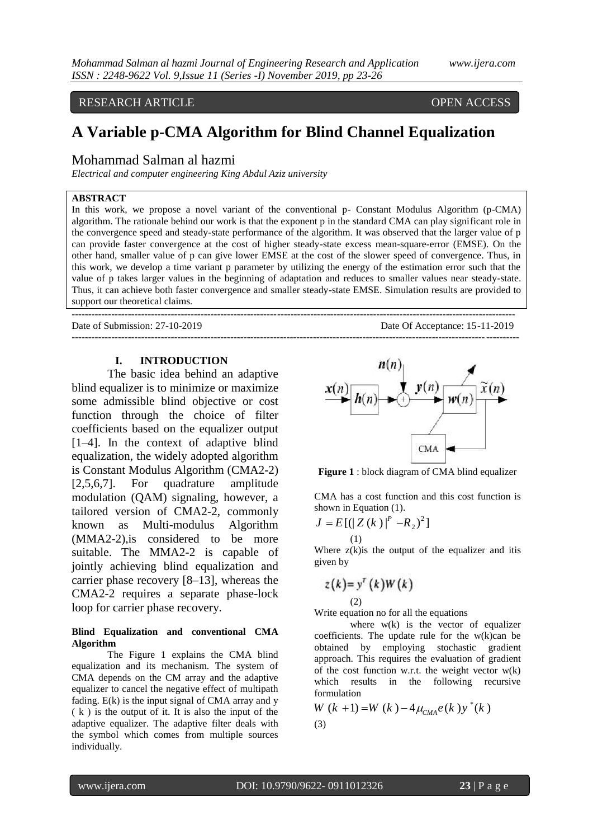# RESEARCH ARTICLE **OPEN ACCESS**

# **A Variable p-CMA Algorithm for Blind Channel Equalization**

# Mohammad Salman al hazmi

*Electrical and computer engineering King Abdul Aziz university*

## **ABSTRACT**

In this work, we propose a novel variant of the conventional p- Constant Modulus Algorithm (p-CMA) algorithm. The rationale behind our work is that the exponent p in the standard CMA can play significant role in the convergence speed and steady-state performance of the algorithm. It was observed that the larger value of p can provide faster convergence at the cost of higher steady-state excess mean-square-error (EMSE). On the other hand, smaller value of p can give lower EMSE at the cost of the slower speed of convergence. Thus, in this work, we develop a time variant p parameter by utilizing the energy of the estimation error such that the value of p takes larger values in the beginning of adaptation and reduces to smaller values near steady-state. Thus, it can achieve both faster convergence and smaller steady-state EMSE. Simulation results are provided to support our theoretical claims.

--------------------------------------------------------------------------------------------------------------------------------------

---------------------------------------------------------------------------------------------------------------------------------------

Date of Submission: 27-10-2019 Date Of Acceptance: 15-11-2019

# **I. INTRODUCTION**

The basic idea behind an adaptive blind equalizer is to minimize or maximize some admissible blind objective or cost function through the choice of filter coefficients based on the equalizer output [1–4]. In the context of adaptive blind equalization, the widely adopted algorithm is Constant Modulus Algorithm (CMA2-2) [2,5,6,7]. For quadrature amplitude modulation (QAM) signaling, however, a tailored version of CMA2-2, commonly known as Multi-modulus Algorithm (MMA2-2),is considered to be more suitable. The MMA2-2 is capable of jointly achieving blind equalization and carrier phase recovery [8–13], whereas the CMA2-2 requires a separate phase-lock loop for carrier phase recovery.

#### **Blind Equalization and conventional CMA Algorithm**

The Figure 1 explains the CMA blind equalization and its mechanism. The system of CMA depends on the CM array and the adaptive equalizer to cancel the negative effect of multipath fading. E(k) is the input signal of CMA array and y ( k ) is the output of it. It is also the input of the adaptive equalizer. The adaptive filter deals with the symbol which comes from multiple sources individually.



**Figure 1** : block diagram of CMA blind equalizer

CMA has a cost function and this cost function is shown in Equation (1).

$$
J = E\left[ (|Z(k)|^{p} - R_{2})^{2} \right]
$$
  
(1)

Where  $z(k)$  is the output of the equalizer and itis given by

$$
z(k)=y^{T}(k)W(k)
$$
  
(2)

Write equation no for all the equations

where  $w(k)$  is the vector of equalizer coefficients. The update rule for the w(k)can be obtained by employing stochastic gradient approach. This requires the evaluation of gradient of the cost function w.r.t. the weight vector  $w(k)$ which results in the following recursive formulation

formulation  
\n
$$
W(k + 1) = W(k) - 4\mu_{CMA}e(k)y^*(k)
$$
  
\n(3)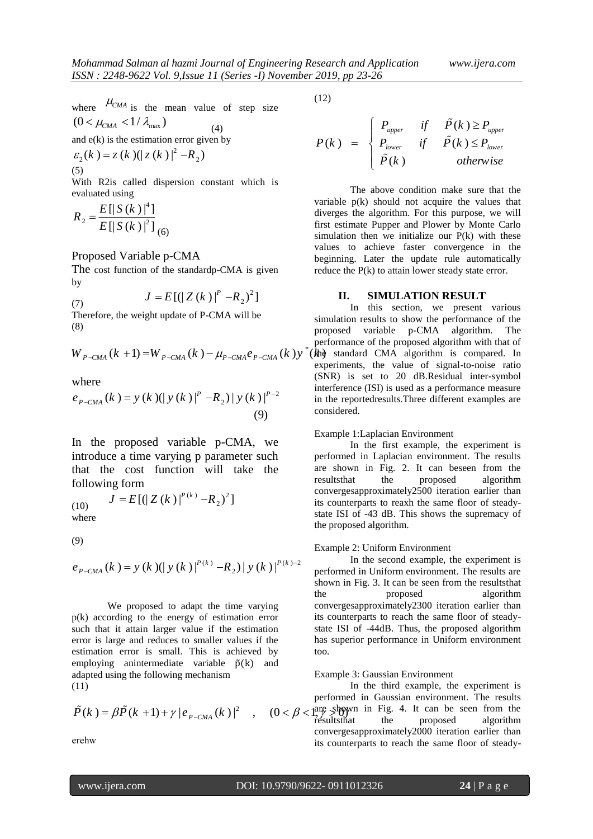where 
$$
\mu_{CMA}
$$
 is the mean value of step size

$$
(0 < \mu_{\text{CMA}} < 1/\lambda_{\text{max}})
$$
 (4)

and e(k) is the estimation error given by  

$$
\varepsilon_2(k) = z(k) (|z(k)|^2 - R_2)
$$
  
(5)

With R2is called dispersion constant which is evaluated using

$$
R_2 = \frac{E[|S(k)|^4]}{E[|S(k)|^2]}_{(6)}
$$

# Proposed Variable p-CMA

The cost function of the standardp-CMA is given by

(7) 
$$
J = E[(|Z(k)|^{p} - R_{2})^{2}]
$$

Therefore, the weight update of P-CMA will be (8)

(8)   
\n
$$
W_{P-CMA}(k+1) = W_{P-CMA}(k) - \mu_{P-CMA}e_{P-CMA}(k)y^* \text{ (the)}
$$
\n
$$
W_{P-CMA}(k+1) = W_{P-CMA}(k) - \mu_{P-CMA}e_{P-CMA}(k)y^* \text{ (the)}
$$

where

where  

$$
e_{P-CMA}(k) = y (k) (|y (k)|^P - R_2) |y (k)|^{P-2}
$$
  
(9)

In the proposed variable p-CMA, we introduce a time varying p parameter such that the cost function will take the following form

(10)  
\n
$$
J = E[(|Z(k)|^{P(k)} - R_2)^2]
$$
\nwhere

(9)

(9)  

$$
e_{P-CMA}(k) = y (k) (|y (k)|^{P(k)} - R_2) |y (k)|^{P(k)-2}
$$

We proposed to adapt the time varying p(k) according to the energy of estimation error such that it attain larger value if the estimation error is large and reduces to smaller values if the estimation error is small. This is achieved by employing anintermediate variable  $\tilde{p}(k)$  and adapted using the following mechanism (11)

(11) In the  
\n
$$
\tilde{P}(k) = \beta \tilde{P}(k+1) + \gamma |e_{P-CMA}(k)|^2 , \quad (0 < \beta < \frac{\text{arg sign}}{\text{resultsthat}})
$$

erehw

(12)

\*

$$
P(k) = \begin{cases} P_{upper} & \text{if } \tilde{P}(k) \ge P_{upper} \\ P_{lower} & \text{if } \tilde{P}(k) \le P_{lower} \\ \tilde{P}(k) & \text{otherwise} \end{cases}
$$

The above condition make sure that the variable p(k) should not acquire the values that diverges the algorithm. For this purpose, we will first estimate Pupper and Plower by Monte Carlo simulation then we initialize our  $P(k)$  with these values to achieve faster convergence in the beginning. Later the update rule automatically reduce the P(k) to attain lower steady state error.

#### **II. SIMULATION RESULT**

In this section, we present various simulation results to show the performance of the proposed variable p-CMA algorithm. The performance of the proposed algorithm with that of  $(kh)$  standard CMA algorithm is compared. In experiments, the value of signal-to-noise ratio (SNR) is set to 20 dB.Residual inter-symbol interference (ISI) is used as a performance measure in the reportedresults.Three different examples are considered.

## Example 1:Laplacian Environment

In the first example, the experiment is performed in Laplacian environment. The results are shown in Fig. 2. It can beseen from the resultsthat the proposed algorithm convergesapproximately2500 iteration earlier than its counterparts to reaxh the same floor of steadystate ISI of -43 dB. This shows the supremacy of the proposed algorithm.

#### Example 2: Uniform Environment

In the second example, the experiment is performed in Uniform environment. The results are shown in Fig. 3. It can be seen from the resultsthat the proposed algorithm convergesapproximately2300 iteration earlier than its counterparts to reach the same floor of steadystate ISI of -44dB. Thus, the proposed algorithm has superior performance in Uniform environment too.

#### Example 3: Gaussian Environment

In the third example, the experiment is performed in Gaussian environment. The results are shown in Fig. 4. It can be seen from the resultsthat the proposed algorithm convergesapproximately2000 iteration earlier than its counterparts to reach the same floor of steady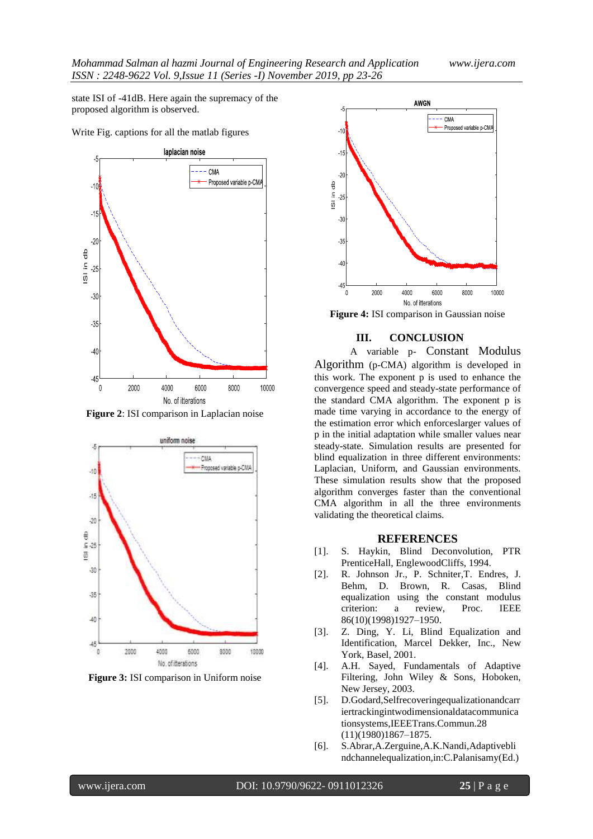state ISI of -41dB. Here again the supremacy of the proposed algorithm is observed.

Write Fig. captions for all the matlab figures



**Figure 2**: ISI comparison in Laplacian noise



**Figure 3:** ISI comparison in Uniform noise



**Figure 4:** ISI comparison in Gaussian noise

# **III. CONCLUSION**

A variable p- Constant Modulus Algorithm (p-CMA) algorithm is developed in this work. The exponent p is used to enhance the convergence speed and steady-state performance of the standard CMA algorithm. The exponent p is made time varying in accordance to the energy of the estimation error which enforceslarger values of p in the initial adaptation while smaller values near steady-state. Simulation results are presented for blind equalization in three different environments: Laplacian, Uniform, and Gaussian environments. These simulation results show that the proposed algorithm converges faster than the conventional CMA algorithm in all the three environments validating the theoretical claims.

#### **REFERENCES**

- [1]. S. Haykin, Blind Deconvolution, PTR PrenticeHall, EnglewoodCliffs, 1994.
- [2]. R. Johnson Jr., P. Schniter,T. Endres, J. Behm, D. Brown, R. Casas, Blind equalization using the constant modulus criterion: a review, Proc. IEEE 86(10)(1998)1927–1950.
- [3]. Z. Ding, Y. Li, Blind Equalization and Identification, Marcel Dekker, Inc., New York, Basel, 2001.
- [4]. A.H. Sayed, Fundamentals of Adaptive Filtering, John Wiley & Sons, Hoboken, New Jersey, 2003.
- [5]. D.Godard,Selfrecoveringequalizationandcarr iertrackingintwodimensionaldatacommunica tionsystems,IEEETrans.Commun.28 (11)(1980)1867–1875.
- [6]. S.Abrar,A.Zerguine,A.K.Nandi,Adaptivebli ndchannelequalization,in:C.Palanisamy(Ed.)